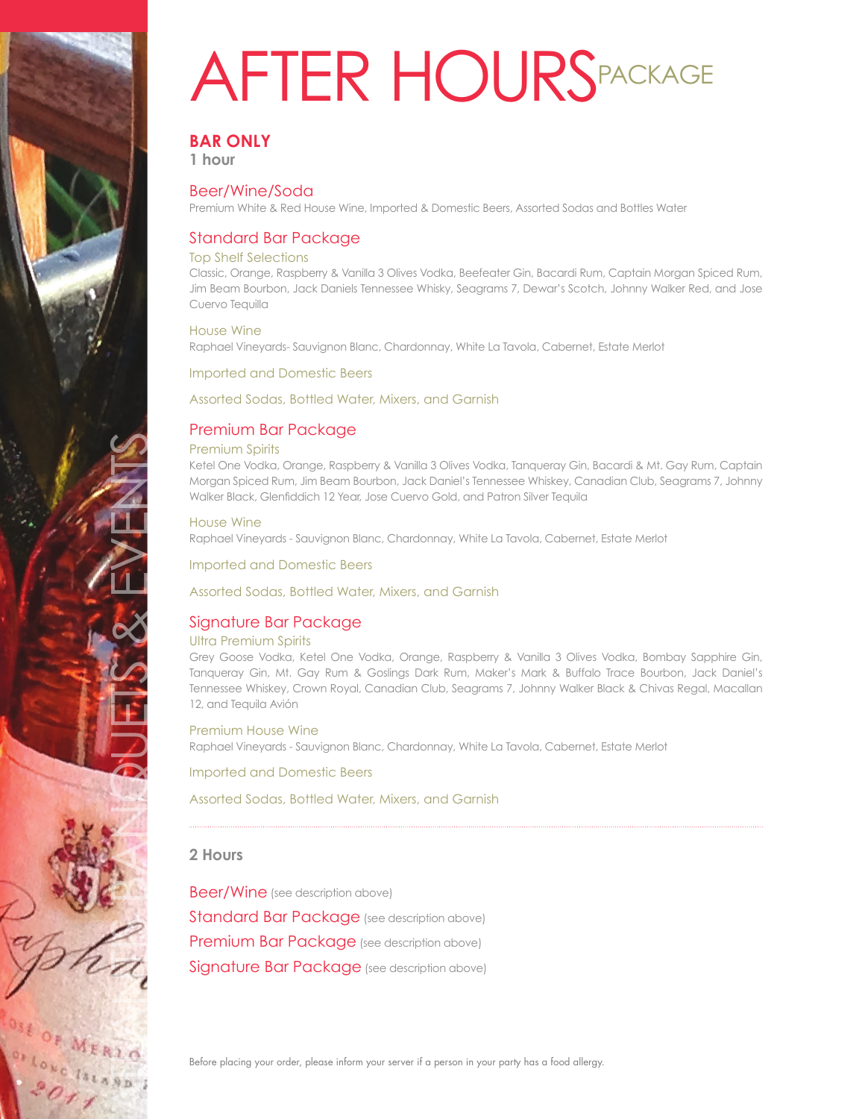

# **BAR ONLY**

**1 hour**

## Beer/Wine/Soda

Premium White & Red House Wine, Imported & Domestic Beers, Assorted Sodas and Bottles Water

## Standard Bar Package

#### Top Shelf Selections

Classic, Orange, Raspberry & Vanilla 3 Olives Vodka, Beefeater Gin, Bacardi Rum, Captain Morgan Spiced Rum, Jim Beam Bourbon, Jack Daniels Tennessee Whisky, Seagrams 7, Dewar's Scotch, Johnny Walker Red, and Jose Cuervo Tequilla

#### House Wine

Raphael Vineyards- Sauvignon Blanc, Chardonnay, White La Tavola, Cabernet, Estate Merlot

Imported and Domestic Beers

#### Assorted Sodas, Bottled Water, Mixers, and Garnish

## Premium Bar Package

#### Premium Spirits

Ketel One Vodka, Orange, Raspberry & Vanilla 3 Olives Vodka, Tanqueray Gin, Bacardi & Mt. Gay Rum, Captain Morgan Spiced Rum, Jim Beam Bourbon, Jack Daniel's Tennessee Whiskey, Canadian Club, Seagrams 7, Johnny Walker Black, Glenfiddich 12 Year, Jose Cuervo Gold, and Patron Silver Tequila

#### House Wine

Raphael Vineyards - Sauvignon Blanc, Chardonnay, White La Tavola, Cabernet, Estate Merlot

Imported and Domestic Beers

#### Assorted Sodas, Bottled Water, Mixers, and Garnish

## Signature Bar Package

#### Ultra Premium Spirits

Grey Goose Vodka, Ketel One Vodka, Orange, Raspberry & Vanilla 3 Olives Vodka, Bombay Sapphire Gin, Tanqueray Gin, Mt. Gay Rum & Goslings Dark Rum, Maker's Mark & Buffalo Trace Bourbon, Jack Daniel's Tennessee Whiskey, Crown Royal, Canadian Club, Seagrams 7, Johnny Walker Black & Chivas Regal, Macallan 12, and Tequila Avión

#### Premium House Wine Raphael Vineyards - Sauvignon Blanc, Chardonnay, White La Tavola, Cabernet, Estate Merlot

Imported and Domestic Beers

#### Assorted Sodas, Bottled Water, Mixers, and Garnish

## **2 Hours**

ATLANTIS BANQUETS & EVENTS

Beer/Wine (see description above) Standard Bar Package (see description above) Premium Bar Package (see description above) Signature Bar Package (see description above)